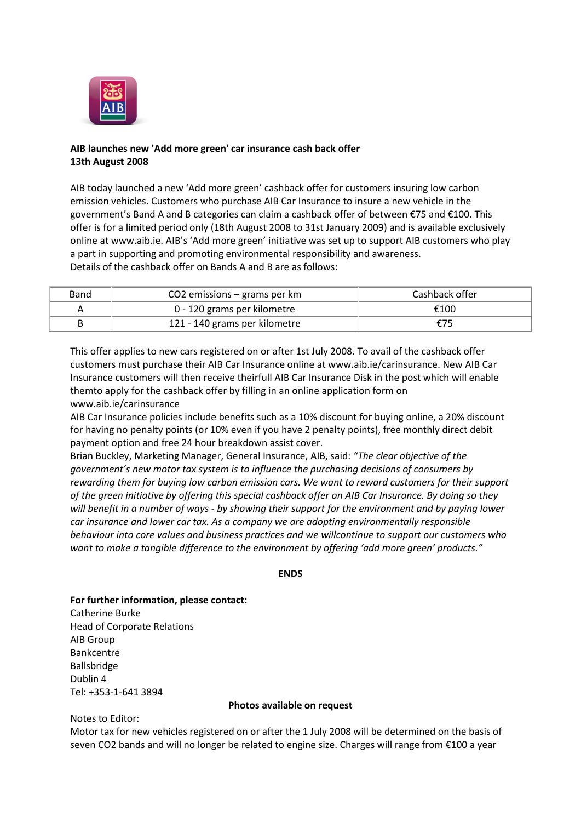

## **AIB launches new 'Add more green' car insurance cash back offer 13th August 2008**

AIB today launched a new 'Add more green' cashback offer for customers insuring low carbon emission vehicles. Customers who purchase AIB Car Insurance to insure a new vehicle in the government's Band A and B categories can claim a cashback offer of between €75 and €100. This offer is for a limited period only (18th August 2008 to 31st January 2009) and is available exclusively online at www.aib.ie. AIB's 'Add more green' initiative was set up to support AIB customers who play a part in supporting and promoting environmental responsibility and awareness. Details of the cashback offer on Bands A and B are as follows:

| Band | $CO2$ emissions – grams per km | Cashback offer |
|------|--------------------------------|----------------|
|      | 0 - 120 grams per kilometre    | €100           |
|      | 121 - 140 grams per kilometre  | E / 5          |

This offer applies to new cars registered on or after 1st July 2008. To avail of the cashback offer customers must purchase their AIB Car Insurance online at www.aib.ie/carinsurance. New AIB Car Insurance customers will then receive theirfull AIB Car Insurance Disk in the post which will enable themto apply for the cashback offer by filling in an online application form on www.aib.ie/carinsurance

AIB Car Insurance policies include benefits such as a 10% discount for buying online, a 20% discount for having no penalty points (or 10% even if you have 2 penalty points), free monthly direct debit payment option and free 24 hour breakdown assist cover.

Brian Buckley, Marketing Manager, General Insurance, AIB, said: *"The clear objective of the government's new motor tax system is to influence the purchasing decisions of consumers by rewarding them for buying low carbon emission cars. We want to reward customers for their support of the green initiative by offering this special cashback offer on AIB Car Insurance. By doing so they will benefit in a number of ways - by showing their support for the environment and by paying lower car insurance and lower car tax. As a company we are adopting environmentally responsible behaviour into core values and business practices and we willcontinue to support our customers who want to make a tangible difference to the environment by offering 'add more green' products."*

## **ENDS**

**For further information, please contact:** Catherine Burke Head of Corporate Relations AIB Group Bankcentre Ballsbridge Dublin 4 Tel: +353-1-641 3894

## **Photos available on request**

Notes to Editor:

Motor tax for new vehicles registered on or after the 1 July 2008 will be determined on the basis of seven CO2 bands and will no longer be related to engine size. Charges will range from €100 a year